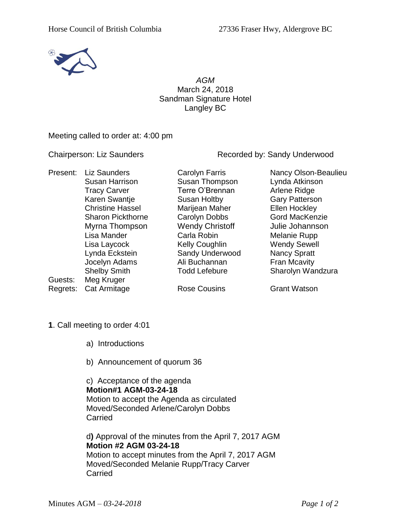

*AGM* March 24, 2018 Sandman Signature Hotel Langley BC

Meeting called to order at: 4:00 pm

Chairperson: Liz Saunders Recorded by: Sandy Underwood

| Present: | <b>Liz Saunders</b><br>Susan Harrison<br><b>Tracy Carver</b><br>Karen Swantje<br><b>Christine Hassel</b><br><b>Sharon Pickthorne</b><br>Myrna Thompson<br>Lisa Mander<br>Lisa Laycock<br>Lynda Eckstein<br>Jocelyn Adams | Carolyn Farris<br>Susan Thompson<br>Terre O'Brennan<br>Susan Holtby<br>Marijean Maher<br>Carolyn Dobbs<br><b>Wendy Christoff</b><br>Carla Robin<br><b>Kelly Coughlin</b><br>Sandy Underwood<br>Ali Buchannan | Nancy Olson-Beaulieu<br>Lynda Atkinson<br>Arlene Ridge<br><b>Gary Patterson</b><br>Ellen Hockley<br><b>Gord MacKenzie</b><br>Julie Johannson<br>Melanie Rupp<br><b>Wendy Sewell</b><br><b>Nancy Spratt</b><br>Fran Mcavity |
|----------|--------------------------------------------------------------------------------------------------------------------------------------------------------------------------------------------------------------------------|--------------------------------------------------------------------------------------------------------------------------------------------------------------------------------------------------------------|----------------------------------------------------------------------------------------------------------------------------------------------------------------------------------------------------------------------------|
| Guests:  | <b>Shelby Smith</b><br>Meg Kruger                                                                                                                                                                                        | <b>Todd Lefebure</b>                                                                                                                                                                                         | Sharolyn Wandzura                                                                                                                                                                                                          |
| Regrets: | Cat Armitage                                                                                                                                                                                                             | <b>Rose Cousins</b>                                                                                                                                                                                          | <b>Grant Watson</b>                                                                                                                                                                                                        |

- **1**. Call meeting to order 4:01
	- a) Introductions
	- b) Announcement of quorum 36

c) Acceptance of the agenda **Motion#1 AGM-03-24-18** Motion to accept the Agenda as circulated Moved/Seconded Arlene/Carolyn Dobbs Carried

d**)** Approval of the minutes from the April 7, 2017 AGM **Motion #2 AGM 03-24-18** Motion to accept minutes from the April 7, 2017 AGM Moved/Seconded Melanie Rupp/Tracy Carver **Carried**